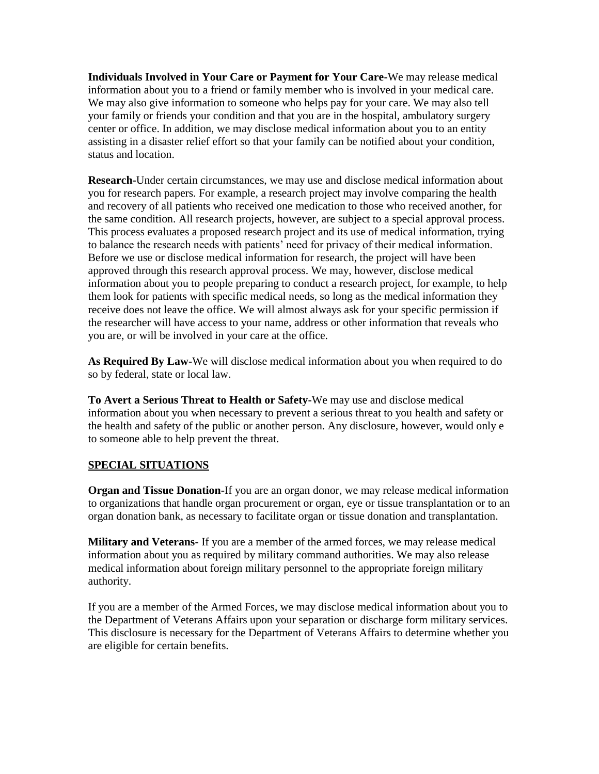**Individuals Involved in Your Care or Payment for Your Care-**We may release medical information about you to a friend or family member who is involved in your medical care. We may also give information to someone who helps pay for your care. We may also tell your family or friends your condition and that you are in the hospital, ambulatory surgery center or office. In addition, we may disclose medical information about you to an entity assisting in a disaster relief effort so that your family can be notified about your condition, status and location.

**Research-**Under certain circumstances, we may use and disclose medical information about you for research papers. For example, a research project may involve comparing the health and recovery of all patients who received one medication to those who received another, for the same condition. All research projects, however, are subject to a special approval process. This process evaluates a proposed research project and its use of medical information, trying to balance the research needs with patients' need for privacy of their medical information. Before we use or disclose medical information for research, the project will have been approved through this research approval process. We may, however, disclose medical information about you to people preparing to conduct a research project, for example, to help them look for patients with specific medical needs, so long as the medical information they receive does not leave the office. We will almost always ask for your specific permission if the researcher will have access to your name, address or other information that reveals who you are, or will be involved in your care at the office.

**As Required By Law-**We will disclose medical information about you when required to do so by federal, state or local law.

**To Avert a Serious Threat to Health or Safety-**We may use and disclose medical information about you when necessary to prevent a serious threat to you health and safety or the health and safety of the public or another person. Any disclosure, however, would only e to someone able to help prevent the threat.

## **SPECIAL SITUATIONS**

**Organ and Tissue Donation-**If you are an organ donor, we may release medical information to organizations that handle organ procurement or organ, eye or tissue transplantation or to an organ donation bank, as necessary to facilitate organ or tissue donation and transplantation.

**Military and Veterans-** If you are a member of the armed forces, we may release medical information about you as required by military command authorities. We may also release medical information about foreign military personnel to the appropriate foreign military authority.

If you are a member of the Armed Forces, we may disclose medical information about you to the Department of Veterans Affairs upon your separation or discharge form military services. This disclosure is necessary for the Department of Veterans Affairs to determine whether you are eligible for certain benefits.